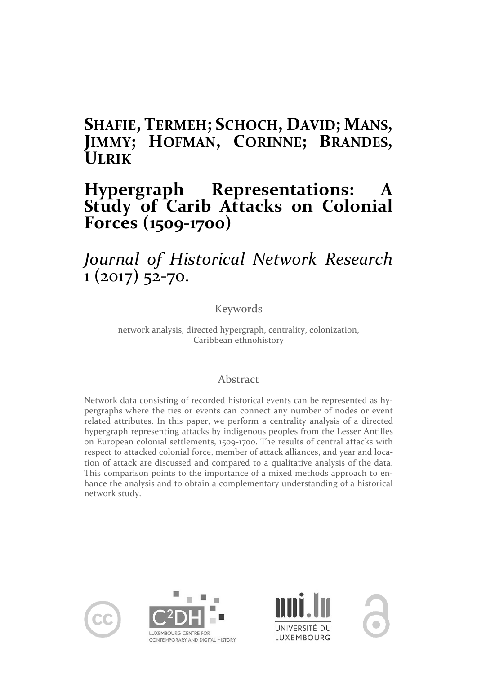# **SHAFIE, TERMEH; SCHOCH, DAVID; MANS, JIMMY; HOFMAN, CORINNE; BRANDES, ULRIK**

# **Hypergraph Representations: A Study of Carib Attacks on Colonial Forces (1509-1700)**

# *Journal of Historical Network Research* 1 (2017) 52-70.

Keywords

network analysis, directed hypergraph, centrality, colonization, Caribbean ethnohistory

# Abstract

Network data consisting of recorded historical events can be represented as hypergraphs where the ties or events can connect any number of nodes or event related attributes. In this paper, we perform a centrality analysis of a directed hypergraph representing attacks by indigenous peoples from the Lesser Antilles on European colonial settlements, 1509-1700. The results of central attacks with respect to attacked colonial force, member of attack alliances, and year and location of attack are discussed and compared to a qualitative analysis of the data. This comparison points to the importance of a mixed methods approach to enhance the analysis and to obtain a complementary understanding of a historical network study.







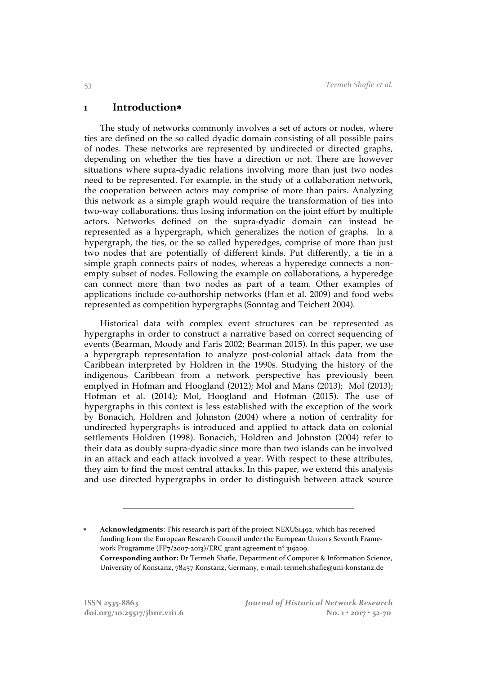#### **1 Introduction**\*

The study of networks commonly involves a set of actors or nodes, where ties are defined on the so called dyadic domain consisting of all possible pairs of nodes. These networks are represented by undirected or directed graphs, depending on whether the ties have a direction or not. There are however situations where supra-dyadic relations involving more than just two nodes need to be represented. For example, in the study of a collaboration network, the cooperation between actors may comprise of more than pairs. Analyzing this network as a simple graph would require the transformation of ties into two-way collaborations, thus losing information on the joint effort by multiple actors. Networks defined on the supra-dyadic domain can instead be represented as a hypergraph, which generalizes the notion of graphs. In a hypergraph, the ties, or the so called hyperedges, comprise of more than just two nodes that are potentially of different kinds. Put differently, a tie in a simple graph connects pairs of nodes, whereas a hyperedge connects a nonempty subset of nodes. Following the example on collaborations, a hyperedge can connect more than two nodes as part of a team. Other examples of applications include co-authorship networks (Han et al. 2009) and food webs represented as competition hypergraphs (Sonntag and Teichert 2004).

Historical data with complex event structures can be represented as hypergraphs in order to construct a narrative based on correct sequencing of events (Bearman, Moody and Faris 2002; Bearman 2015). In this paper, we use a hypergraph representation to analyze post-colonial attack data from the Caribbean interpreted by Holdren in the 1990s. Studying the history of the indigenous Caribbean from a network perspective has previously been emplyed in Hofman and Hoogland (2012); Mol and Mans (2013); Mol (2013); Hofman et al. (2014); Mol, Hoogland and Hofman (2015). The use of hypergraphs in this context is less established with the exception of the work by Bonacich, Holdren and Johnston (2004) where a notion of centrality for undirected hypergraphs is introduced and applied to attack data on colonial settlements Holdren (1998). Bonacich, Holdren and Johnston (2004) refer to their data as doubly supra-dyadic since more than two islands can be involved in an attack and each attack involved a year. With respect to these attributes, they aim to find the most central attacks. In this paper, we extend this analysis and use directed hypergraphs in order to distinguish between attack source

Acknowledgments: This research is part of the project NEXUS1492, which has received funding from the European Research Council under the European Union's Seventh Framework Programme (FP7/2007-2013)/ERC grant agreement n° 319209. **Corresponding author:** Dr Termeh Shafie, Department of Computer & Information Science, University of Konstanz, 78457 Konstanz, Germany, e-mail: termeh.shafie@uni-konstanz.de

 $\overline{a}$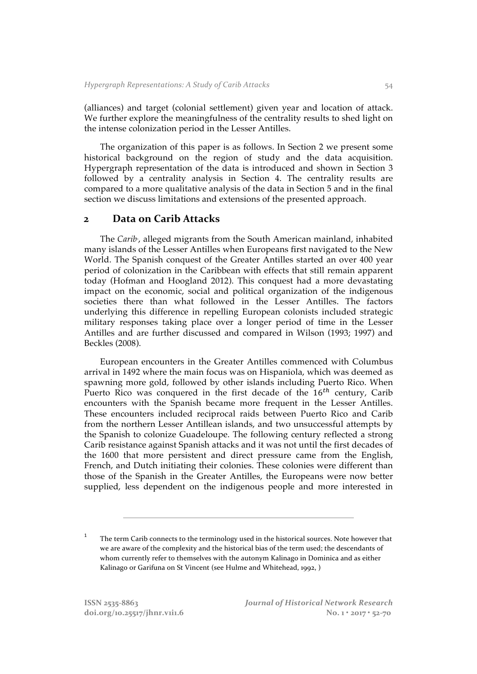(alliances) and target (colonial settlement) given year and location of attack. We further explore the meaningfulness of the centrality results to shed light on the intense colonization period in the Lesser Antilles.

The organization of this paper is as follows. In Section 2 we present some historical background on the region of study and the data acquisition. Hypergraph representation of the data is introduced and shown in Section 3 followed by a centrality analysis in Section 4. The centrality results are compared to a more qualitative analysis of the data in Section 5 and in the final section we discuss limitations and extensions of the presented approach.

## **2 Data on Carib Attacks**

The *Carib*<sup>*'*</sup>, alleged migrants from the South American mainland, inhabited many islands of the Lesser Antilles when Europeans first navigated to the New World. The Spanish conquest of the Greater Antilles started an over 400 year period of colonization in the Caribbean with effects that still remain apparent today (Hofman and Hoogland 2012). This conquest had a more devastating impact on the economic, social and political organization of the indigenous societies there than what followed in the Lesser Antilles. The factors underlying this difference in repelling European colonists included strategic military responses taking place over a longer period of time in the Lesser Antilles and are further discussed and compared in Wilson (1993; 1997) and Beckles (2008).

European encounters in the Greater Antilles commenced with Columbus arrival in 1492 where the main focus was on Hispaniola, which was deemed as spawning more gold, followed by other islands including Puerto Rico. When Puerto Rico was conquered in the first decade of the  $16<sup>th</sup>$  century, Carib encounters with the Spanish became more frequent in the Lesser Antilles. These encounters included reciprocal raids between Puerto Rico and Carib from the northern Lesser Antillean islands, and two unsuccessful attempts by the Spanish to colonize Guadeloupe. The following century reflected a strong Carib resistance against Spanish attacks and it was not until the first decades of the 1600 that more persistent and direct pressure came from the English, French, and Dutch initiating their colonies. These colonies were different than those of the Spanish in the Greater Antilles, the Europeans were now better supplied, less dependent on the indigenous people and more interested in

 $\overline{a}$ 

<sup>&</sup>lt;sup>1</sup> The term Carib connects to the terminology used in the historical sources. Note however that we are aware of the complexity and the historical bias of the term used; the descendants of whom currently refer to themselves with the autonym Kalinago in Dominica and as either Kalinago or Garifuna on St Vincent (see Hulme and Whitehead, 1992, )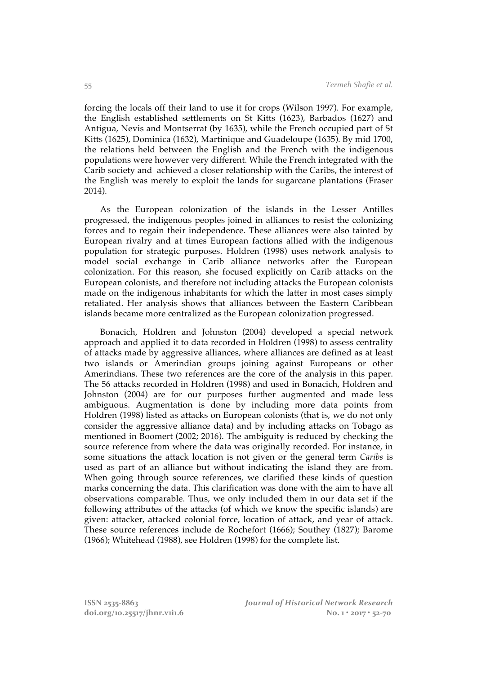forcing the locals off their land to use it for crops (Wilson 1997). For example, the English established settlements on St Kitts (1623), Barbados (1627) and Antigua, Nevis and Montserrat (by 1635), while the French occupied part of St Kitts (1625), Dominica (1632), Martinique and Guadeloupe (1635). By mid 1700, the relations held between the English and the French with the indigenous populations were however very different. While the French integrated with the Carib society and achieved a closer relationship with the Caribs, the interest of the English was merely to exploit the lands for sugarcane plantations (Fraser 2014).

As the European colonization of the islands in the Lesser Antilles progressed, the indigenous peoples joined in alliances to resist the colonizing forces and to regain their independence. These alliances were also tainted by European rivalry and at times European factions allied with the indigenous population for strategic purposes. Holdren (1998) uses network analysis to model social exchange in Carib alliance networks after the European colonization. For this reason, she focused explicitly on Carib attacks on the European colonists, and therefore not including attacks the European colonists made on the indigenous inhabitants for which the latter in most cases simply retaliated. Her analysis shows that alliances between the Eastern Caribbean islands became more centralized as the European colonization progressed.

Bonacich, Holdren and Johnston (2004) developed a special network approach and applied it to data recorded in Holdren (1998) to assess centrality of attacks made by aggressive alliances, where alliances are defined as at least two islands or Amerindian groups joining against Europeans or other Amerindians. These two references are the core of the analysis in this paper. The 56 attacks recorded in Holdren (1998) and used in Bonacich, Holdren and Johnston (2004) are for our purposes further augmented and made less ambiguous. Augmentation is done by including more data points from Holdren (1998) listed as attacks on European colonists (that is, we do not only consider the aggressive alliance data) and by including attacks on Tobago as mentioned in Boomert (2002; 2016). The ambiguity is reduced by checking the source reference from where the data was originally recorded. For instance, in some situations the attack location is not given or the general term *Caribs* is used as part of an alliance but without indicating the island they are from. When going through source references, we clarified these kinds of question marks concerning the data. This clarification was done with the aim to have all observations comparable. Thus, we only included them in our data set if the following attributes of the attacks (of which we know the specific islands) are given: attacker, attacked colonial force, location of attack, and year of attack. These source references include de Rochefort (1666); Southey (1827); Barome (1966); Whitehead (1988), see Holdren (1998) for the complete list.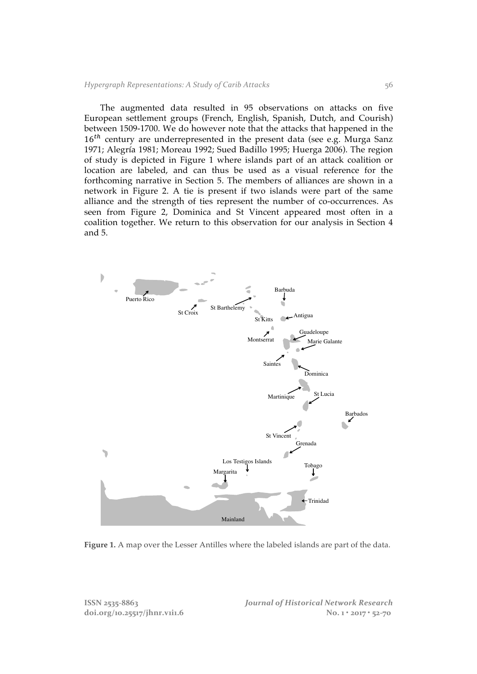The augmented data resulted in 95 observations on attacks on five European settlement groups (French, English, Spanish, Dutch, and Courish) between 1509-1700. We do however note that the attacks that happened in the  $16<sup>th</sup>$  century are underrepresented in the present data (see e.g. Murga Sanz 1971; Alegría 1981; Moreau 1992; Sued Badillo 1995; Huerga 2006). The region of study is depicted in Figure 1 where islands part of an attack coalition or location are labeled, and can thus be used as a visual reference for the forthcoming narrative in Section 5. The members of alliances are shown in a network in Figure 2. A tie is present if two islands were part of the same alliance and the strength of ties represent the number of co-occurrences. As seen from Figure 2, Dominica and St Vincent appeared most often in a coalition together. We return to this observation for our analysis in Section 4 and 5.



**Figure 1.** A map over the Lesser Antilles where the labeled islands are part of the data.

**ISSN 2535-8863** *Journal of Historical Network Research* **doi.org/10.25517/jhnr.v1i1.6 No. 1 • 2017 • 52-70**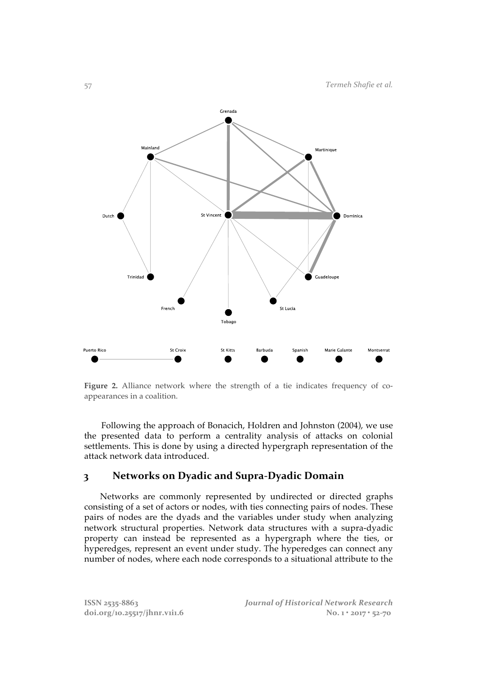

**Figure 2.** Alliance network where the strength of a tie indicates frequency of coappearances in a coalition.

Following the approach of Bonacich, Holdren and Johnston (2004), we use the presented data to perform a centrality analysis of attacks on colonial settlements. This is done by using a directed hypergraph representation of the attack network data introduced.

# **3 Networks on Dyadic and Supra-Dyadic Domain**

Networks are commonly represented by undirected or directed graphs consisting of a set of actors or nodes, with ties connecting pairs of nodes. These pairs of nodes are the dyads and the variables under study when analyzing network structural properties. Network data structures with a supra-dyadic property can instead be represented as a hypergraph where the ties, or hyperedges, represent an event under study. The hyperedges can connect any number of nodes, where each node corresponds to a situational attribute to the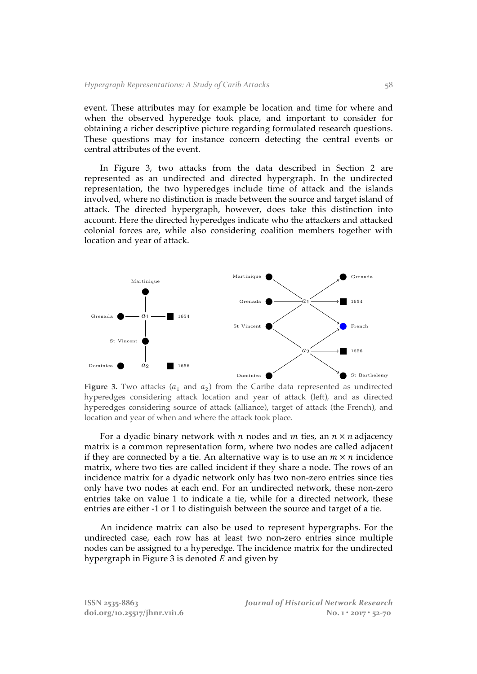event. These attributes may for example be location and time for where and when the observed hyperedge took place, and important to consider for obtaining a richer descriptive picture regarding formulated research questions. These questions may for instance concern detecting the central events or central attributes of the event.

In Figure 3, two attacks from the data described in Section 2 are represented as an undirected and directed hypergraph. In the undirected representation, the two hyperedges include time of attack and the islands involved, where no distinction is made between the source and target island of attack. The directed hypergraph, however, does take this distinction into account. Here the directed hyperedges indicate who the attackers and attacked colonial forces are, while also considering coalition members together with location and year of attack.



Figure 3. Two attacks  $(a_1 \text{ and } a_2)$  from the Caribe data represented as undirected hyperedges considering attack location and year of attack (left), and as directed hyperedges considering source of attack (alliance), target of attack (the French), and location and year of when and where the attack took place.

For a dyadic binary network with *n* nodes and *m* ties, an  $n \times n$  adjacency matrix is a common representation form, where two nodes are called adjacent if they are connected by a tie. An alternative way is to use an  $m \times n$  incidence matrix, where two ties are called incident if they share a node. The rows of an incidence matrix for a dyadic network only has two non-zero entries since ties only have two nodes at each end. For an undirected network, these non-zero entries take on value 1 to indicate a tie, while for a directed network, these entries are either -1 or 1 to distinguish between the source and target of a tie.

An incidence matrix can also be used to represent hypergraphs. For the undirected case, each row has at least two non-zero entries since multiple nodes can be assigned to a hyperedge. The incidence matrix for the undirected hypergraph in Figure 3 is denoted  $E$  and given by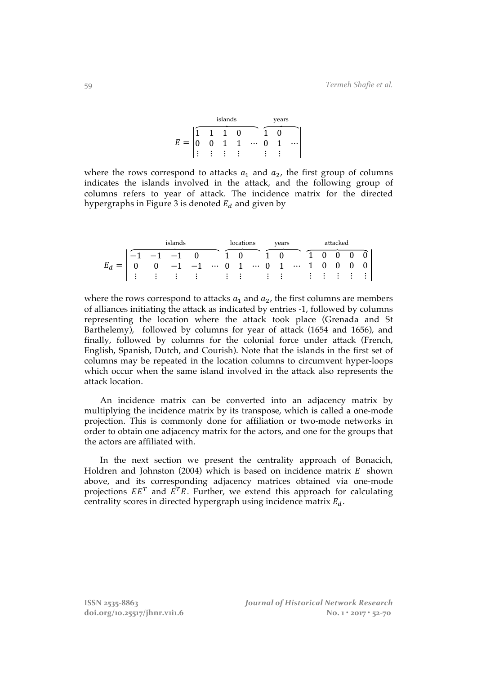|     |  | islands |  | years |  |  |  |  |  |
|-----|--|---------|--|-------|--|--|--|--|--|
|     |  |         |  |       |  |  |  |  |  |
| $=$ |  |         |  |       |  |  |  |  |  |
|     |  |         |  |       |  |  |  |  |  |

where the rows correspond to attacks  $a_1$  and  $a_2$ , the first group of columns indicates the islands involved in the attack, and the following group of columns refers to year of attack. The incidence matrix for the directed hypergraphs in Figure 3 is denoted  $E_d$  and given by

| islands |  |  |  |  |  | locations |  |  |  |  |  | years attacked |  |  |  |  |
|---------|--|--|--|--|--|-----------|--|--|--|--|--|----------------|--|--|--|--|
|         |  |  |  |  |  |           |  |  |  |  |  |                |  |  |  |  |
|         |  |  |  |  |  |           |  |  |  |  |  |                |  |  |  |  |
|         |  |  |  |  |  |           |  |  |  |  |  |                |  |  |  |  |

where the rows correspond to attacks  $a_1$  and  $a_2$ , the first columns are members of alliances initiating the attack as indicated by entries -1, followed by columns representing the location where the attack took place (Grenada and St Barthelemy), followed by columns for year of attack (1654 and 1656), and finally, followed by columns for the colonial force under attack (French, English, Spanish, Dutch, and Courish). Note that the islands in the first set of columns may be repeated in the location columns to circumvent hyper-loops which occur when the same island involved in the attack also represents the attack location.

An incidence matrix can be converted into an adjacency matrix by multiplying the incidence matrix by its transpose, which is called a one-mode projection. This is commonly done for affiliation or two-mode networks in order to obtain one adjacency matrix for the actors, and one for the groups that the actors are affiliated with.

In the next section we present the centrality approach of Bonacich, Holdren and Johnston (2004) which is based on incidence matrix  $E$  shown above, and its corresponding adjacency matrices obtained via one-mode projections  $EE^T$  and  $E^TE$ . Further, we extend this approach for calculating centrality scores in directed hypergraph using incidence matrix  $E_d$ .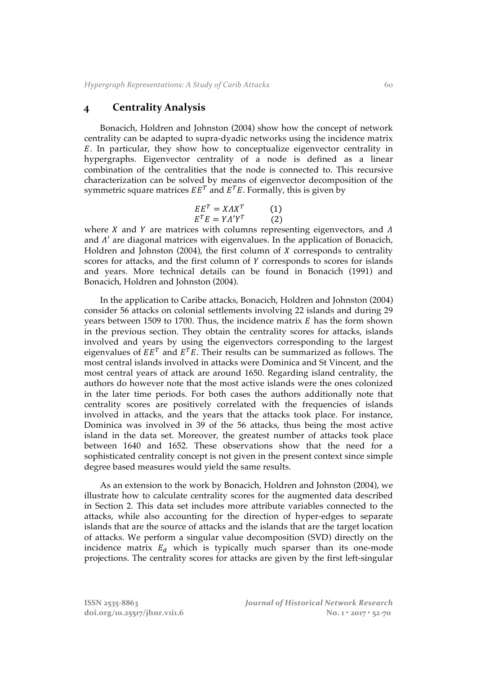## **4 Centrality Analysis**

Bonacich, Holdren and Johnston (2004) show how the concept of network centrality can be adapted to supra-dyadic networks using the incidence matrix . In particular, they show how to conceptualize eigenvector centrality in hypergraphs. Eigenvector centrality of a node is defined as a linear combination of the centralities that the node is connected to. This recursive characterization can be solved by means of eigenvector decomposition of the symmetric square matrices  $EE^T$  and  $E^TE$ . Formally, this is given by

$$
EET = XAXT \t(1)
$$
  

$$
ETE = YA'YT \t(2)
$$

where  $X$  and  $Y$  are matrices with columns representing eigenvectors, and  $\Lambda$ and  $\Lambda'$  are diagonal matrices with eigenvalues. In the application of Bonacich, Holdren and Johnston (2004), the first column of  $X$  corresponds to centrality scores for attacks, and the first column of  $Y$  corresponds to scores for islands and years. More technical details can be found in Bonacich (1991) and Bonacich, Holdren and Johnston (2004).

In the application to Caribe attacks, Bonacich, Holdren and Johnston (2004) consider 56 attacks on colonial settlements involving 22 islands and during 29 years between 1509 to 1700. Thus, the incidence matrix  $E$  has the form shown in the previous section. They obtain the centrality scores for attacks, islands involved and years by using the eigenvectors corresponding to the largest eigenvalues of  $EE^T$  and  $E^T E$ . Their results can be summarized as follows. The most central islands involved in attacks were Dominica and St Vincent, and the most central years of attack are around 1650. Regarding island centrality, the authors do however note that the most active islands were the ones colonized in the later time periods. For both cases the authors additionally note that centrality scores are positively correlated with the frequencies of islands involved in attacks, and the years that the attacks took place. For instance, Dominica was involved in 39 of the 56 attacks, thus being the most active island in the data set. Moreover, the greatest number of attacks took place between 1640 and 1652. These observations show that the need for a sophisticated centrality concept is not given in the present context since simple degree based measures would yield the same results.

As an extension to the work by Bonacich, Holdren and Johnston (2004), we illustrate how to calculate centrality scores for the augmented data described in Section 2. This data set includes more attribute variables connected to the attacks, while also accounting for the direction of hyper-edges to separate islands that are the source of attacks and the islands that are the target location of attacks. We perform a singular value decomposition (SVD) directly on the incidence matrix  $E_d$  which is typically much sparser than its one-mode projections. The centrality scores for attacks are given by the first left-singular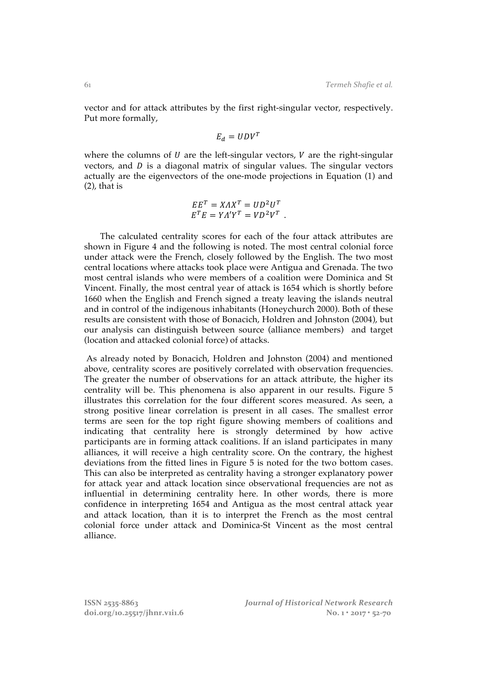vector and for attack attributes by the first right-singular vector, respectively. Put more formally,

$$
E_d = UDV^T
$$

where the columns of  $U$  are the left-singular vectors,  $V$  are the right-singular vectors, and  $D$  is a diagonal matrix of singular values. The singular vectors actually are the eigenvectors of the one-mode projections in Equation (1) and (2), that is

$$
EET = XAXT = UD2UT
$$
  

$$
ETE = YA'YT = VD2VT
$$
.

The calculated centrality scores for each of the four attack attributes are shown in Figure 4 and the following is noted. The most central colonial force under attack were the French, closely followed by the English. The two most central locations where attacks took place were Antigua and Grenada. The two most central islands who were members of a coalition were Dominica and St Vincent. Finally, the most central year of attack is 1654 which is shortly before 1660 when the English and French signed a treaty leaving the islands neutral and in control of the indigenous inhabitants (Honeychurch 2000). Both of these results are consistent with those of Bonacich, Holdren and Johnston (2004), but our analysis can distinguish between source (alliance members) and target (location and attacked colonial force) of attacks.

As already noted by Bonacich, Holdren and Johnston (2004) and mentioned above, centrality scores are positively correlated with observation frequencies. The greater the number of observations for an attack attribute, the higher its centrality will be. This phenomena is also apparent in our results. Figure 5 illustrates this correlation for the four different scores measured. As seen, a strong positive linear correlation is present in all cases. The smallest error terms are seen for the top right figure showing members of coalitions and indicating that centrality here is strongly determined by how active participants are in forming attack coalitions. If an island participates in many alliances, it will receive a high centrality score. On the contrary, the highest deviations from the fitted lines in Figure 5 is noted for the two bottom cases. This can also be interpreted as centrality having a stronger explanatory power for attack year and attack location since observational frequencies are not as influential in determining centrality here. In other words, there is more confidence in interpreting 1654 and Antigua as the most central attack year and attack location, than it is to interpret the French as the most central colonial force under attack and Dominica-St Vincent as the most central alliance.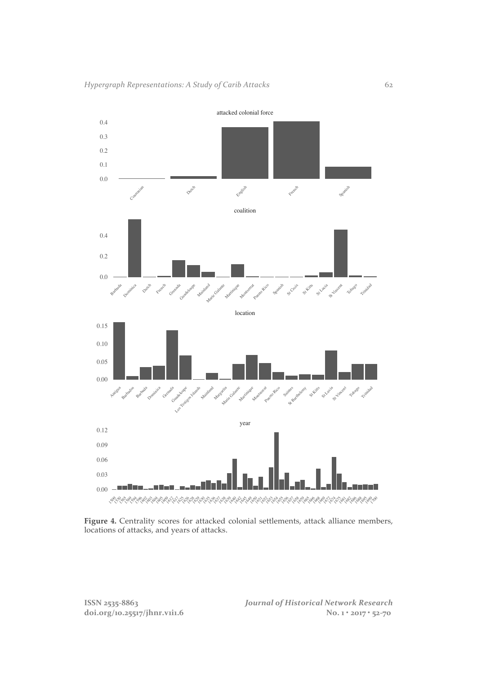

**Figure 4.** Centrality scores for attacked colonial settlements, attack alliance members, locations of attacks, and years of attacks.

doi.org/10.25517/jhnr.v1i1.6

**ISSN 2535-8863** *Journal of Historical Network Research*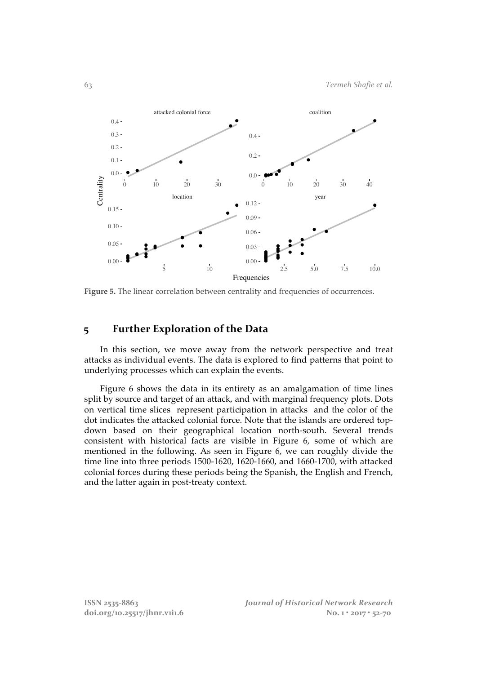

Figure 5. The linear correlation between centrality and frequencies of occurrences.

# **5 Further Exploration of the Data**

In this section, we move away from the network perspective and treat attacks as individual events. The data is explored to find patterns that point to underlying processes which can explain the events.

Figure 6 shows the data in its entirety as an amalgamation of time lines split by source and target of an attack, and with marginal frequency plots. Dots on vertical time slices represent participation in attacks and the color of the dot indicates the attacked colonial force. Note that the islands are ordered topdown based on their geographical location north-south. Several trends consistent with historical facts are visible in Figure 6, some of which are mentioned in the following. As seen in Figure 6, we can roughly divide the time line into three periods 1500-1620, 1620-1660, and 1660-1700, with attacked colonial forces during these periods being the Spanish, the English and French, and the latter again in post-treaty context.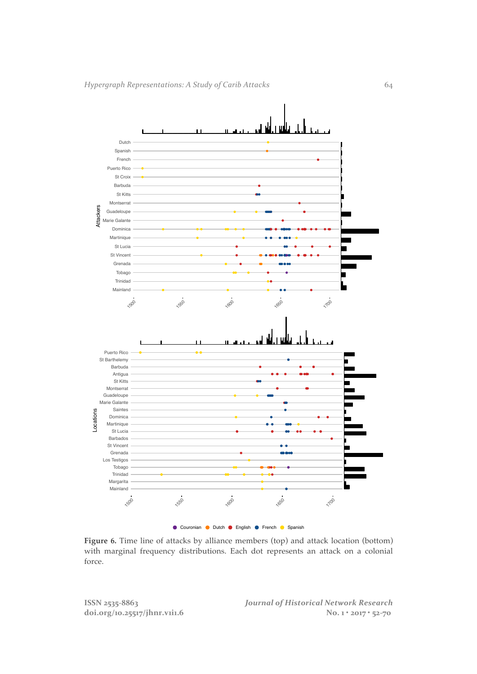

Figure 6. Time line of attacks by alliance members (top) and attack location (bottom) with marginal frequency distributions. Each dot represents an attack on a colonial force.

**ISSN 2535-8863** *Journal of Historical Network Research* doi.org/10.25517/jhnr.v1i1.6 No. 1 • 2017 • 52-70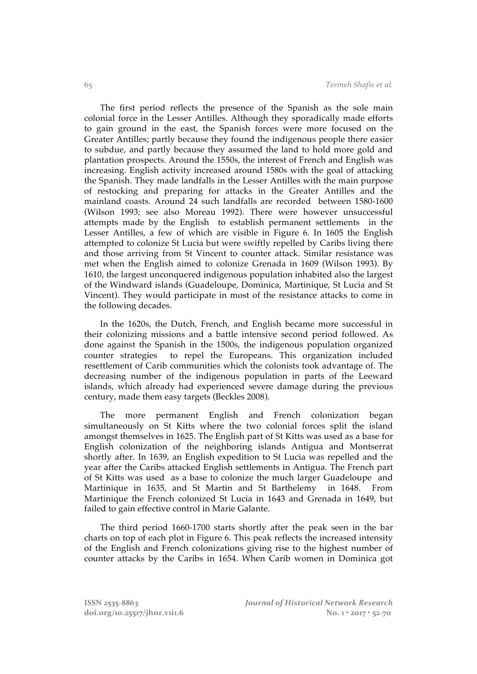The first period reflects the presence of the Spanish as the sole main colonial force in the Lesser Antilles. Although they sporadically made efforts to gain ground in the east, the Spanish forces were more focused on the Greater Antilles; partly because they found the indigenous people there easier to subdue, and partly because they assumed the land to hold more gold and plantation prospects. Around the 1550s, the interest of French and English was increasing. English activity increased around 1580s with the goal of attacking the Spanish. They made landfalls in the Lesser Antilles with the main purpose of restocking and preparing for attacks in the Greater Antilles and the mainland coasts. Around 24 such landfalls are recorded between 1580-1600 (Wilson 1993; see also Moreau 1992). There were however unsuccessful attempts made by the English to establish permanent settlements in the Lesser Antilles, a few of which are visible in Figure 6. In 1605 the English attempted to colonize St Lucia but were swiftly repelled by Caribs living there and those arriving from St Vincent to counter attack. Similar resistance was met when the English aimed to colonize Grenada in 1609 (Wilson 1993). By 1610, the largest unconquered indigenous population inhabited also the largest of the Windward islands (Guadeloupe, Dominica, Martinique, St Lucia and St Vincent). They would participate in most of the resistance attacks to come in the following decades.

In the 1620s, the Dutch, French, and English became more successful in their colonizing missions and a battle intensive second period followed. As done against the Spanish in the 1500s, the indigenous population organized counter strategies to repel the Europeans. This organization included resettlement of Carib communities which the colonists took advantage of. The decreasing number of the indigenous population in parts of the Leeward islands, which already had experienced severe damage during the previous century, made them easy targets (Beckles 2008).

The more permanent English and French colonization began simultaneously on St Kitts where the two colonial forces split the island amongst themselves in 1625. The English part of St Kitts was used as a base for English colonization of the neighboring islands Antigua and Montserrat shortly after. In 1639, an English expedition to St Lucia was repelled and the year after the Caribs attacked English settlements in Antigua. The French part of St Kitts was used as a base to colonize the much larger Guadeloupe and Martinique in 1635, and St Martin and St Barthelemy in 1648. From Martinique the French colonized St Lucia in 1643 and Grenada in 1649, but failed to gain effective control in Marie Galante.

The third period 1660-1700 starts shortly after the peak seen in the bar charts on top of each plot in Figure 6. This peak reflects the increased intensity of the English and French colonizations giving rise to the highest number of counter attacks by the Caribs in 1654. When Carib women in Dominica got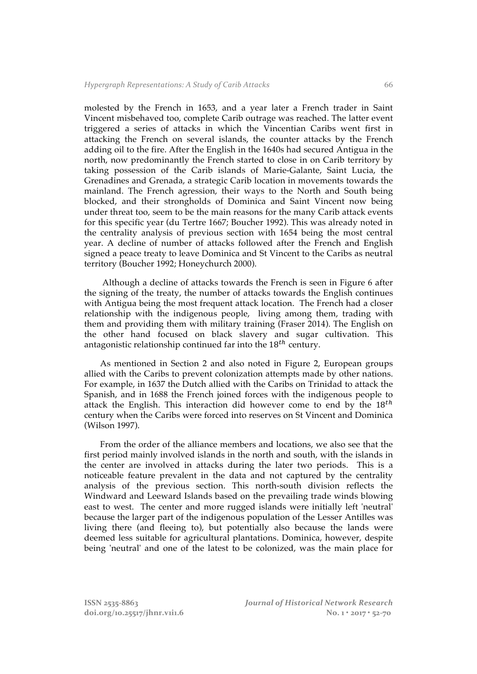molested by the French in 1653, and a year later a French trader in Saint Vincent misbehaved too, complete Carib outrage was reached. The latter event triggered a series of attacks in which the Vincentian Caribs went first in attacking the French on several islands, the counter attacks by the French adding oil to the fire. After the English in the 1640s had secured Antigua in the north, now predominantly the French started to close in on Carib territory by taking possession of the Carib islands of Marie-Galante, Saint Lucia, the Grenadines and Grenada, a strategic Carib location in movements towards the mainland. The French agression, their ways to the North and South being blocked, and their strongholds of Dominica and Saint Vincent now being under threat too, seem to be the main reasons for the many Carib attack events for this specific year (du Tertre 1667; Boucher 1992). This was already noted in the centrality analysis of previous section with 1654 being the most central year. A decline of number of attacks followed after the French and English signed a peace treaty to leave Dominica and St Vincent to the Caribs as neutral territory (Boucher 1992; Honeychurch 2000).

Although a decline of attacks towards the French is seen in Figure 6 after the signing of the treaty, the number of attacks towards the English continues with Antigua being the most frequent attack location. The French had a closer relationship with the indigenous people, living among them, trading with them and providing them with military training (Fraser 2014). The English on the other hand focused on black slavery and sugar cultivation. This antagonistic relationship continued far into the  $18^{th}$  century.

As mentioned in Section 2 and also noted in Figure 2, European groups allied with the Caribs to prevent colonization attempts made by other nations. For example, in 1637 the Dutch allied with the Caribs on Trinidad to attack the Spanish, and in 1688 the French joined forces with the indigenous people to attack the English. This interaction did however come to end by the  $18<sup>th</sup>$ century when the Caribs were forced into reserves on St Vincent and Dominica (Wilson 1997).

From the order of the alliance members and locations, we also see that the first period mainly involved islands in the north and south, with the islands in the center are involved in attacks during the later two periods. This is a noticeable feature prevalent in the data and not captured by the centrality analysis of the previous section. This north-south division reflects the Windward and Leeward Islands based on the prevailing trade winds blowing east to west. The center and more rugged islands were initially left 'neutral' because the larger part of the indigenous population of the Lesser Antilles was living there (and fleeing to), but potentially also because the lands were deemed less suitable for agricultural plantations. Dominica, however, despite being 'neutral' and one of the latest to be colonized, was the main place for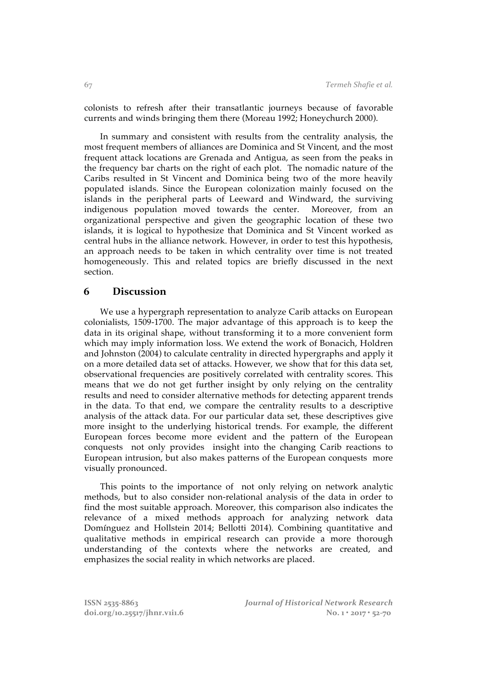colonists to refresh after their transatlantic journeys because of favorable currents and winds bringing them there (Moreau 1992; Honeychurch 2000).

In summary and consistent with results from the centrality analysis, the most frequent members of alliances are Dominica and St Vincent, and the most frequent attack locations are Grenada and Antigua, as seen from the peaks in the frequency bar charts on the right of each plot. The nomadic nature of the Caribs resulted in St Vincent and Dominica being two of the more heavily populated islands. Since the European colonization mainly focused on the islands in the peripheral parts of Leeward and Windward, the surviving indigenous population moved towards the center. Moreover, from an organizational perspective and given the geographic location of these two islands, it is logical to hypothesize that Dominica and St Vincent worked as central hubs in the alliance network. However, in order to test this hypothesis, an approach needs to be taken in which centrality over time is not treated homogeneously. This and related topics are briefly discussed in the next section.

### **6 Discussion**

We use a hypergraph representation to analyze Carib attacks on European colonialists, 1509-1700. The major advantage of this approach is to keep the data in its original shape, without transforming it to a more convenient form which may imply information loss. We extend the work of Bonacich, Holdren and Johnston (2004) to calculate centrality in directed hypergraphs and apply it on a more detailed data set of attacks. However, we show that for this data set, observational frequencies are positively correlated with centrality scores. This means that we do not get further insight by only relying on the centrality results and need to consider alternative methods for detecting apparent trends in the data. To that end, we compare the centrality results to a descriptive analysis of the attack data. For our particular data set, these descriptives give more insight to the underlying historical trends. For example, the different European forces become more evident and the pattern of the European conquests not only provides insight into the changing Carib reactions to European intrusion, but also makes patterns of the European conquests more visually pronounced.

This points to the importance of not only relying on network analytic methods, but to also consider non-relational analysis of the data in order to find the most suitable approach. Moreover, this comparison also indicates the relevance of a mixed methods approach for analyzing network data Domínguez and Hollstein 2014; Bellotti 2014). Combining quantitative and qualitative methods in empirical research can provide a more thorough understanding of the contexts where the networks are created, and emphasizes the social reality in which networks are placed.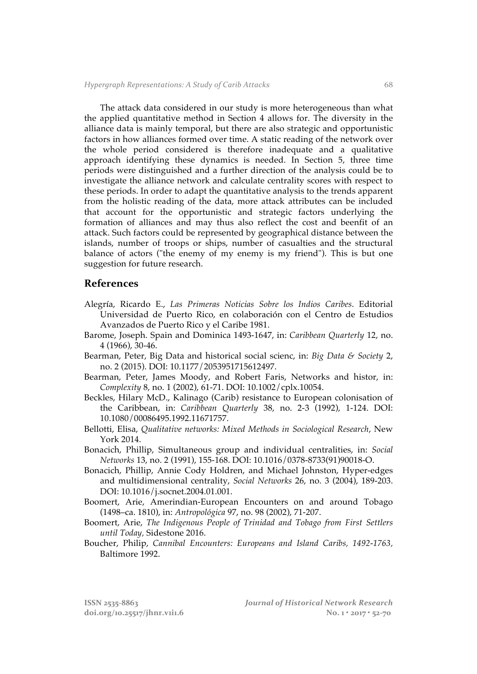The attack data considered in our study is more heterogeneous than what the applied quantitative method in Section 4 allows for. The diversity in the alliance data is mainly temporal, but there are also strategic and opportunistic factors in how alliances formed over time. A static reading of the network over the whole period considered is therefore inadequate and a qualitative approach identifying these dynamics is needed. In Section 5, three time periods were distinguished and a further direction of the analysis could be to investigate the alliance network and calculate centrality scores with respect to these periods. In order to adapt the quantitative analysis to the trends apparent from the holistic reading of the data, more attack attributes can be included that account for the opportunistic and strategic factors underlying the formation of alliances and may thus also reflect the cost and beenfit of an attack. Such factors could be represented by geographical distance between the islands, number of troops or ships, number of casualties and the structural balance of actors ("the enemy of my enemy is my friend"). This is but one suggestion for future research.

#### **References**

- Alegría, Ricardo E., *Las Primeras Noticias Sobre los Indios Caribes*. Editorial Universidad de Puerto Rico, en colaboración con el Centro de Estudios Avanzados de Puerto Rico y el Caribe 1981.
- Barome, Joseph. Spain and Dominica 1493-1647, in: *Caribbean Quarterly* 12, no. 4 (1966), 30-46.
- Bearman, Peter, Big Data and historical social scienc, in: *Big Data & Society* 2, no. 2 (2015). DOI: 10.1177/2053951715612497.
- Bearman, Peter, James Moody, and Robert Faris, Networks and histor, in: *Complexity* 8, no. 1 (2002), 61-71. DOI: 10.1002/cplx.10054.
- Beckles, Hilary McD., Kalinago (Carib) resistance to European colonisation of the Caribbean, in: *Caribbean Quarterly* 38, no. 2-3 (1992), 1-124. DOI: 10.1080/00086495.1992.11671757.
- Bellotti, Elisa, *Qualitative networks: Mixed Methods in Sociological Research*, New York 2014.
- Bonacich, Phillip, Simultaneous group and individual centralities, in: *Social Networks* 13, no. 2 (1991), 155-168. DOI: 10.1016/0378-8733(91)90018-O.
- Bonacich, Phillip, Annie Cody Holdren, and Michael Johnston, Hyper-edges and multidimensional centrality, *Social Networks* 26, no. 3 (2004), 189-203. DOI: 10.1016/j.socnet.2004.01.001.
- Boomert, Arie, Amerindian-European Encounters on and around Tobago (1498–ca. 1810), in: *Antropológica* 97, no. 98 (2002), 71-207.
- Boomert, Arie, *The Indigenous People of Trinidad and Tobago from First Settlers until Today,* Sidestone 2016.
- Boucher, Philip, *Cannibal Encounters: Europeans and Island Caribs, 1492-1763,*  Baltimore 1992.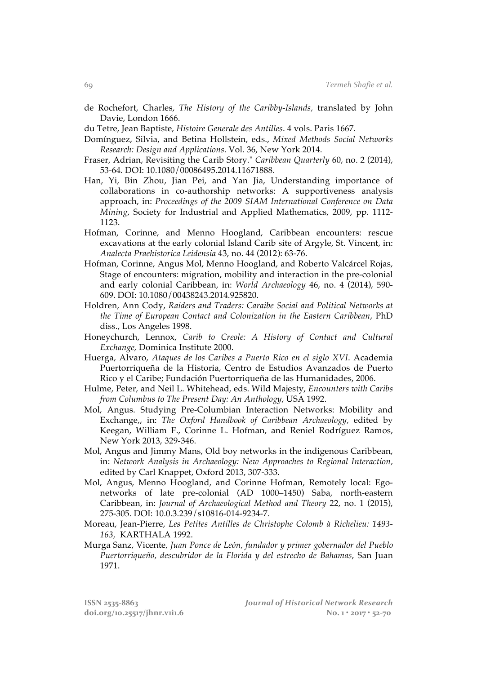- de Rochefort, Charles, *The History of the Caribby-Islands,* translated by John Davie, London 1666.
- du Tetre, Jean Baptiste, *Histoire Generale des Antilles*. 4 vols. Paris 1667.
- Domínguez, Silvia, and Betina Hollstein, eds., *Mixed Methods Social Networks Research: Design and Applications*. Vol. 36, New York 2014.
- Fraser, Adrian, Revisiting the Carib Story." *Caribbean Quarterly* 60, no. 2 (2014), 53-64. DOI: 10.1080/00086495.2014.11671888.
- Han, Yi, Bin Zhou, Jian Pei, and Yan Jia, Understanding importance of collaborations in co-authorship networks: A supportiveness analysis approach, in: *Proceedings of the 2009 SIAM International Conference on Data Mining*, Society for Industrial and Applied Mathematics, 2009, pp. 1112- 1123.
- Hofman, Corinne, and Menno Hoogland, Caribbean encounters: rescue excavations at the early colonial Island Carib site of Argyle, St. Vincent, in: *Analecta Praehistorica Leidensia* 43, no. 44 (2012): 63-76.
- Hofman, Corinne, Angus Mol, Menno Hoogland, and Roberto Valcárcel Rojas, Stage of encounters: migration, mobility and interaction in the pre-colonial and early colonial Caribbean, in: *World Archaeology* 46, no. 4 (2014), 590- 609. DOI: 10.1080/00438243.2014.925820.
- Holdren, Ann Cody, *Raiders and Traders: Caraibe Social and Political Networks at the Time of European Contact and Colonization in the Eastern Caribbean*, PhD diss., Los Angeles 1998.
- Honeychurch, Lennox, *Carib to Creole: A History of Contact and Cultural Exchange,* Dominica Institute 2000.
- Huerga, Alvaro, *Ataques de los Caribes a Puerto Rico en el siglo XVI*. Academia Puertorriqueña de la Historia, Centro de Estudios Avanzados de Puerto Rico y el Caribe; Fundación Puertorriqueña de las Humanidades, 2006.
- Hulme, Peter, and Neil L. Whitehead, eds. Wild Majesty, *Encounters with Caribs from Columbus to The Present Day: An Anthology*, USA 1992.
- Mol, Angus. Studying Pre-Columbian Interaction Networks: Mobility and Exchange,, in: *The Oxford Handbook of Caribbean Archaeology,* edited by Keegan, William F., Corinne L. Hofman, and Reniel Rodríguez Ramos, New York 2013, 329-346.
- Mol, Angus and Jimmy Mans, Old boy networks in the indigenous Caribbean, in: *Network Analysis in Archaeology: New Approaches to Regional Interaction,*  edited by Carl Knappet, Oxford 2013, 307-333.
- Mol, Angus, Menno Hoogland, and Corinne Hofman, Remotely local: Egonetworks of late pre-colonial (AD 1000–1450) Saba, north-eastern Caribbean, in: *Journal of Archaeological Method and Theory* 22, no. 1 (2015), 275-305. DOI: 10.0.3.239/s10816-014-9234-7.
- Moreau, Jean-Pierre, *Les Petites Antilles de Christophe Colomb à Richelieu: 1493- 163,* KARTHALA 1992.
- Murga Sanz, Vicente*, Juan Ponce de León, fundador y primer gobernador del Pueblo Puertorriqueño, descubridor de la Florida y del estrecho de Bahamas*, San Juan 1971.